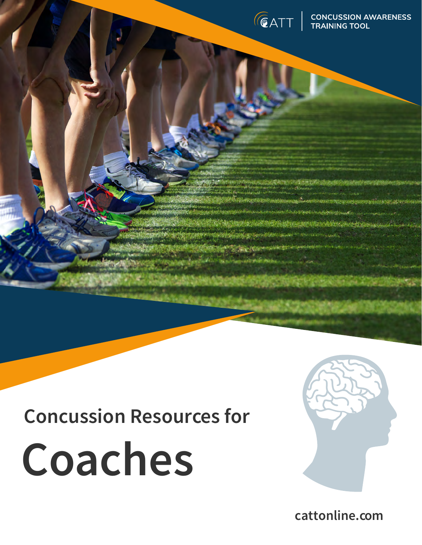

# **Concussion Resources for**





**Marchin** 

**cattonline.com**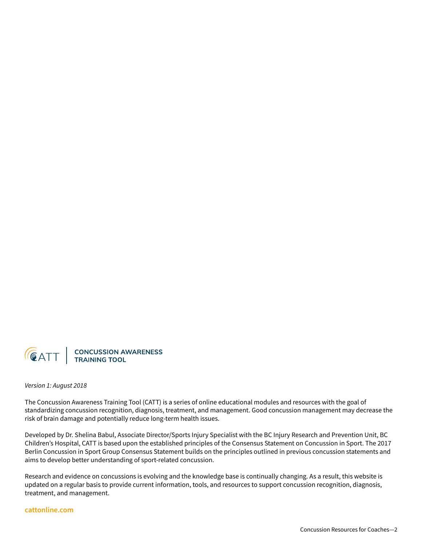

*Version 1: August 2018*

The Concussion Awareness Training Tool (CATT) is a series of online educational modules and resources with the goal of standardizing concussion recognition, diagnosis, treatment, and management. Good concussion management may decrease the risk of brain damage and potentially reduce long-term health issues.

Developed by Dr. Shelina Babul, Associate Director/Sports Injury Specialist with the BC Injury Research and Prevention Unit, BC Children's Hospital, CATT is based upon the established principles of the Consensus Statement on Concussion in Sport. The 2017 Berlin Concussion in Sport Group Consensus Statement builds on the principles outlined in previous concussion statements and aims to develop better understanding of sport-related concussion.

Research and evidence on concussions is evolving and the knowledge base is continually changing. As a result, this website is updated on a regular basis to provide current information, tools, and resources to support concussion recognition, diagnosis, treatment, and management.

#### **cattonline.com**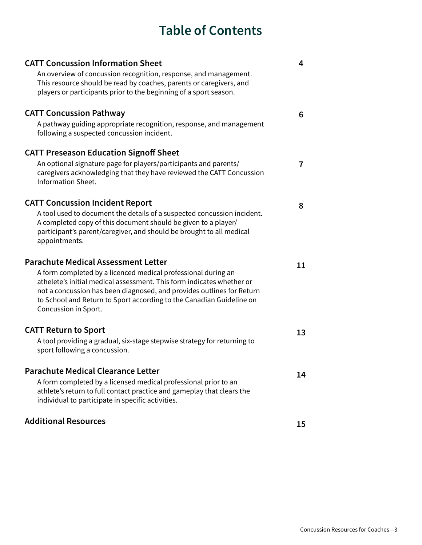# **Table of Contents**

| <b>CATT Concussion Information Sheet</b>                                                                                                                                                                                                                                                                        | 4  |
|-----------------------------------------------------------------------------------------------------------------------------------------------------------------------------------------------------------------------------------------------------------------------------------------------------------------|----|
| An overview of concussion recognition, response, and management.<br>This resource should be read by coaches, parents or caregivers, and                                                                                                                                                                         |    |
| players or participants prior to the beginning of a sport season.                                                                                                                                                                                                                                               |    |
| <b>CATT Concussion Pathway</b>                                                                                                                                                                                                                                                                                  | 6  |
| A pathway guiding appropriate recognition, response, and management<br>following a suspected concussion incident.                                                                                                                                                                                               |    |
| <b>CATT Preseason Education Signoff Sheet</b>                                                                                                                                                                                                                                                                   |    |
| An optional signature page for players/participants and parents/<br>caregivers acknowledging that they have reviewed the CATT Concussion<br><b>Information Sheet.</b>                                                                                                                                           | 7  |
| <b>CATT Concussion Incident Report</b>                                                                                                                                                                                                                                                                          | 8  |
| A tool used to document the details of a suspected concussion incident.<br>A completed copy of this document should be given to a player/<br>participant's parent/caregiver, and should be brought to all medical<br>appointments.                                                                              |    |
| <b>Parachute Medical Assessment Letter</b>                                                                                                                                                                                                                                                                      | 11 |
| A form completed by a licenced medical professional during an<br>athelete's initial medical assessment. This form indicates whether or<br>not a concussion has been diagnosed, and provides outlines for Return<br>to School and Return to Sport according to the Canadian Guideline on<br>Concussion in Sport. |    |
| <b>CATT Return to Sport</b>                                                                                                                                                                                                                                                                                     | 13 |
| A tool providing a gradual, six-stage stepwise strategy for returning to<br>sport following a concussion.                                                                                                                                                                                                       |    |
| <b>Parachute Medical Clearance Letter</b>                                                                                                                                                                                                                                                                       |    |
| A form completed by a licensed medical professional prior to an<br>athlete's return to full contact practice and gameplay that clears the<br>individual to participate in specific activities.                                                                                                                  | 14 |
| <b>Additional Resources</b>                                                                                                                                                                                                                                                                                     | 15 |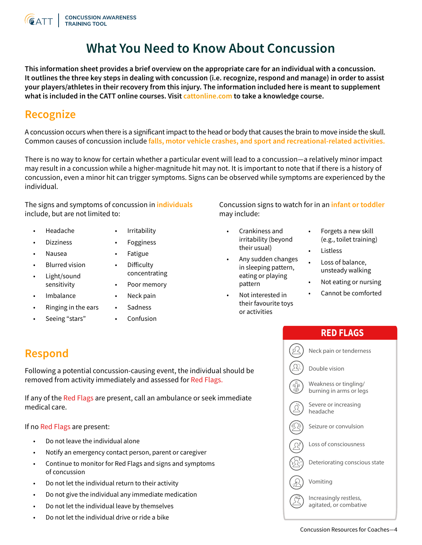

# **What You Need to Know About Concussion**

**This information sheet provides a brief overview on the appropriate care for an individual with a concussion. It outlines the three key steps in dealing with concussion (i.e. recognize, respond and manage) in order to assist your players/athletes in their recovery from this injury. The information included here is meant to supplement what is included in the CATT online courses. Visit cattonline.com to take a knowledge course.**

# **Recognize**

A concussion occurs when there is a significant impact to the head or body that causes the brain to move inside the skull. Common causes of concussion include **falls, motor vehicle crashes, and sport and recreational-related activities.** 

There is no way to know for certain whether a particular event will lead to a concussion—a relatively minor impact may result in a concussion while a higher-magnitude hit may not. It is important to note that if there is a history of concussion, even a minor hit can trigger symptoms. Signs can be observed while symptoms are experienced by the individual.

The signs and symptoms of concussion in **individuals** include, but are not limited to:

- Headache
- **Irritability**
- Dizziness

• Nausea

- **Fogginess Fatigue**
- Blurred vision
- Light/sound • Difficulty concentrating
	- Poor memory Neck pain
- **Imbalance**

sensitivity

- Ringing in the ears
- Seeing "stars"
- **Sadness**
- Confusion

Concussion signs to watch for in an **infant or toddler**  may include:

- Crankiness and irritability (beyond their usual)
- Any sudden changes in sleeping pattern, eating or playing pattern
- Not interested in their favourite toys or activities
- Forgets a new skill (e.g., toilet training)
- **Listless**
- Loss of balance, unsteady walking
- Not eating or nursing
- Cannot be comforted
	- **RED FLAGS**

Following a potential concussion-causing event, the individual should be removed from activity immediately and assessed for Red Flags.

If any of the Red Flags are present, call an ambulance or seek immediate medical care.

If no Red Flags are present:

- Do not leave the individual alone
- Notify an emergency contact person, parent or caregiver
- Continue to monitor for Red Flags and signs and symptoms of concussion
- Do not let the individual return to their activity
- Do not give the individual any immediate medication
- Do not let the individual leave by themselves
- Do not let the individual drive or ride a bike

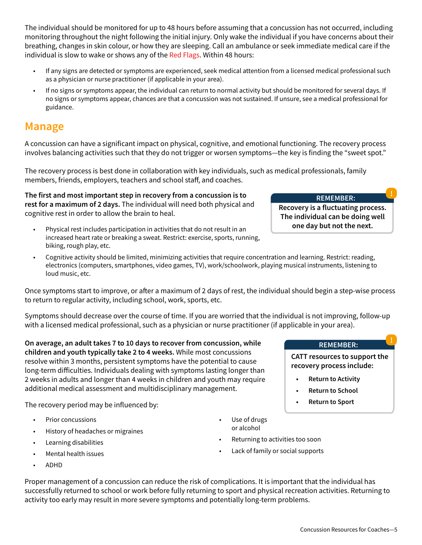The individual should be monitored for up to 48 hours before assuming that a concussion has not occurred, including monitoring throughout the night following the initial injury. Only wake the individual if you have concerns about their breathing, changes in skin colour, or how they are sleeping. Call an ambulance or seek immediate medical care if the individual is slow to wake or shows any of the Red Flags. Within 48 hours:

- If any signs are detected or symptoms are experienced, seek medical attention from a licensed medical professional such as a physician or nurse practitioner (if applicable in your area).
- If no signs or symptoms appear, the individual can return to normal activity but should be monitored for several days. If no signs or symptoms appear, chances are that a concussion was not sustained. If unsure, see a medical professional for guidance.

# **Manage**

A concussion can have a significant impact on physical, cognitive, and emotional functioning. The recovery process involves balancing activities such that they do not trigger or worsen symptoms—the key is finding the "sweet spot."

The recovery process is best done in collaboration with key individuals, such as medical professionals, family members, friends, employers, teachers and school staff, and coaches.

**The first and most important step in recovery from a concussion is to rest for a maximum of 2 days.** The individual will need both physical and cognitive rest in order to allow the brain to heal.

- Physical rest includes participation in activities that do not result in an increased heart rate or breaking a sweat. Restrict: exercise, sports, running, biking, rough play, etc.
- Cognitive activity should be limited, minimizing activities that require concentration and learning. Restrict: reading, electronics (computers, smartphones, video games, TV), work/schoolwork, playing musical instruments, listening to loud music, etc.

Once symptoms start to improve, or after a maximum of 2 days of rest, the individual should begin a step-wise process to return to regular activity, including school, work, sports, etc.

Symptoms should decrease over the course of time. If you are worried that the individual is not improving, follow-up with a licensed medical professional, such as a physician or nurse practitioner (if applicable in your area).

Proper management of a concussion can reduce the risk of complications. It is important that the individual has successfully returned to school or work before fully returning to sport and physical recreation activities. Returning to

activity too early may result in more severe symptoms and potentially long-term problems.

**On average, an adult takes 7 to 10 days to recover from concussion, while children and youth typically take 2 to 4 weeks.** While most concussions resolve within 3 months, persistent symptoms have the potential to cause long-term difficulties. Individuals dealing with symptoms lasting longer than 2 weeks in adults and longer than 4 weeks in children and youth may require additional medical assessment and multidisciplinary management.

The recovery period may be influenced by:

- Prior concussions
- History of headaches or migraines
- Learning disabilities
- Mental health issues
- ADHD

or alcohol

- Returning to activities too soon
- Lack of family or social supports

**REMEMBER:**

**Recovery is a fluctuating process. The individual can be doing well one day but not the next.**

#### ! **REMEMBER:**

**CATT resources to support the recovery process include:**

- **• Return to Activity**
- **• Return to School**
- **• Return to Sport**
- Use of drugs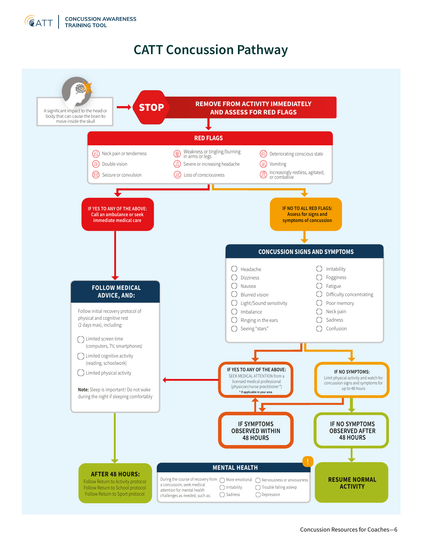

# **CATT Concussion Pathway**

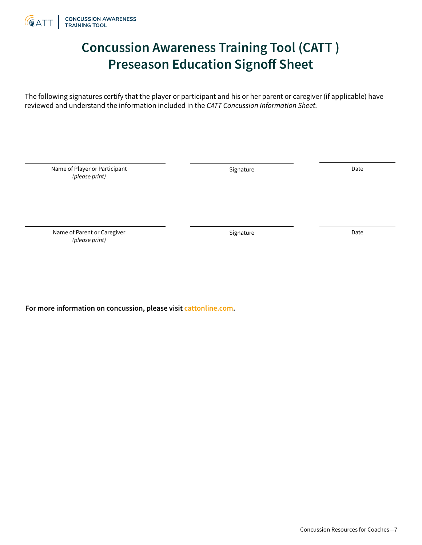

# **Concussion Awareness Training Tool (CATT ) Preseason Education Signoff Sheet**

The following signatures certify that the player or participant and his or her parent or caregiver (if applicable) have reviewed and understand the information included in the *CATT Concussion Information Sheet.*

Name of Player or Participant *(please print)*

Signature Date

Name of Parent or Caregiver *(please print)*

Signature Date

**For more information on concussion, please visit cattonline.com.**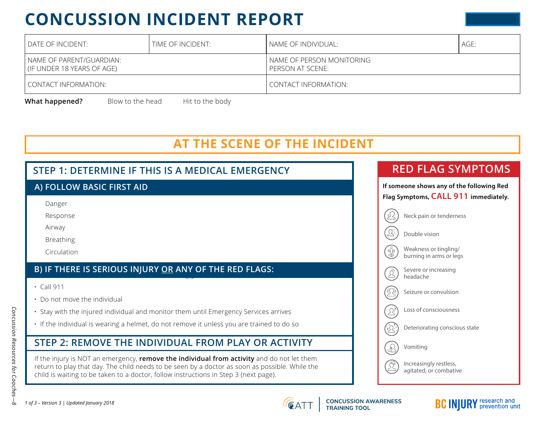# **CONCUSSION INCIDENT REPORT**

| DATE OF INCIDENT:                                        | TIME OF INCIDENT: | NAME OF INDIVIDUAL:                           | AGE: |  |  |
|----------------------------------------------------------|-------------------|-----------------------------------------------|------|--|--|
| NAME OF PARENT/GUARDIAN:<br>I (IF UNDER 18 YEARS OF AGE) |                   | NAME OF PERSON MONITORING<br>PERSON AT SCENE: |      |  |  |
| CONTACT INFORMATION:                                     |                   | CONTACT INFORMATION:                          |      |  |  |

Blow to the head **What happened?** Blow to the head Hit to the body

# **AT THE SCENE OF THE INCIDENT**





**CONCUSSION AWARENESS<br>TRAINING TOOL** 

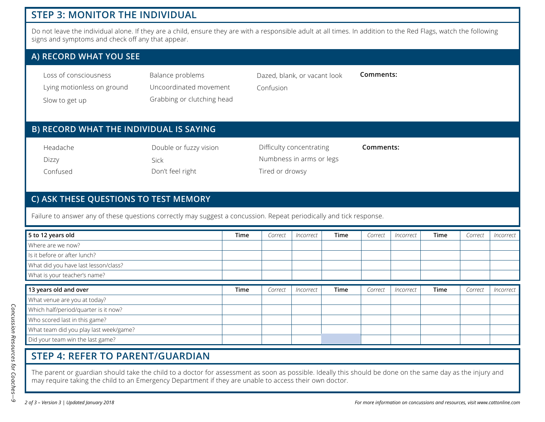# **STEP 3: MONITOR THE INDIVIDUAL**

Do not leave the individual alone. If they are a child, ensure they are with a responsible adult at all times. In addition to the Red Flags, watch the following signs and symptoms and check off any that appear.

### **A) RECORD WHAT YOU SEE**

| Loss of consciousness      | Balance problems |
|----------------------------|------------------|
| Lying motionless on ground | Uncoordinated mo |

Slow to get up

d movement Grabbing or clutching head Dazed, blank, or vacant look

**Comments:**

Confusion

# **B) RECORD WHAT THE INDIVIDUAL IS SAYING**

| Headache | Double or fuzzy vision | Difficulty concentrating | Comments: |
|----------|------------------------|--------------------------|-----------|
| Dizzy    | <b>Sick</b>            | Numbness in arms or legs |           |
| Confused | Don't feel right       | Tired or drowsy          |           |

### **C) ASK THESE QUESTIONS TO TEST MEMORY**

Failure to answer any of these questions correctly may suggest a concussion. Repeat periodically and tick response.

| 5 to 12 years old                      | Time        | Correct | Incorrect | Time        | Correct | Incorrect | Time | Correct | Incorrect |
|----------------------------------------|-------------|---------|-----------|-------------|---------|-----------|------|---------|-----------|
| Where are we now?                      |             |         |           |             |         |           |      |         |           |
| Is it before or after lunch?           |             |         |           |             |         |           |      |         |           |
| What did you have last lesson/class?   |             |         |           |             |         |           |      |         |           |
| What is your teacher's name?           |             |         |           |             |         |           |      |         |           |
| 13 years old and over                  | <b>Time</b> | Correct | Incorrect | <b>Time</b> | Correct | Incorrect | Time | Correct | Incorrect |
| What venue are you at today?           |             |         |           |             |         |           |      |         |           |
| Which half/period/quarter is it now?   |             |         |           |             |         |           |      |         |           |
| Who scored last in this game?          |             |         |           |             |         |           |      |         |           |
|                                        |             |         |           |             |         |           |      |         |           |
| What team did you play last week/game? |             |         |           |             |         |           |      |         |           |

# **STEP 4: REFER TO PARENT/GUARDIAN**

The parent or guardian should take the child to a doctor for assessment as soon as possible. Ideally this should be done on the same day as the injury and may require taking the child to an Emergency Department if they are unable to access their own doctor.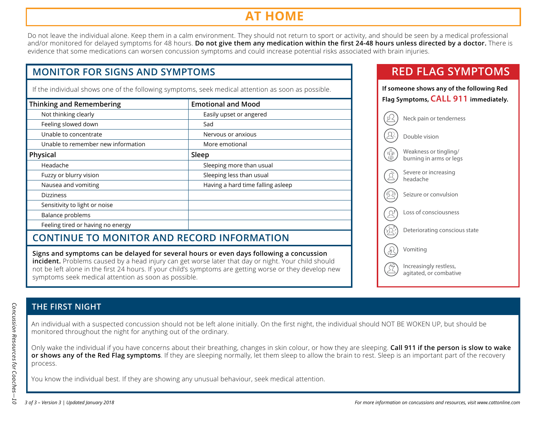# **AT HOME**

Do not leave the individual alone. Keep them in a calm environment. They should not return to sport or activity, and should be seen by a medical professional and/or monitored for delayed symptoms for 48 hours. **Do not give them any medication within the first 24-48 hours unless directed by a doctor.** There is evidence that some medications can worsen concussion symptoms and could increase potential risks associated with brain injuries.

# **MONITOR FOR SIGNS AND SYMPTOMS**

If the individual shows one of the following symptoms, seek medical attention as soon as possible.

| <b>Thinking and Remembering</b>    | <b>Emotional and Mood</b>         |
|------------------------------------|-----------------------------------|
| Not thinking clearly               | Easily upset or angered           |
| Feeling slowed down                | Sad                               |
| Unable to concentrate              | Nervous or anxious                |
| Unable to remember new information | More emotional                    |
| Physical                           | Sleep                             |
| Headache                           | Sleeping more than usual          |
| Fuzzy or blurry vision             | Sleeping less than usual          |
| Nausea and vomiting                | Having a hard time falling asleep |
| <b>Dizziness</b>                   |                                   |
| Sensitivity to light or noise      |                                   |
| Balance problems                   |                                   |
| Feeling tired or having no energy  |                                   |
|                                    |                                   |

# **CONTINUE TO MONITOR AND RECORD INFORMATION**

**Signs and symptoms can be delayed for several hours or even days following a concussion incident.** Problems caused by a head injury can get worse later that day or night. Your child should not be left alone in the first 24 hours. If your child's symptoms are getting worse or they develop new symptoms seek medical attention as soon as possible.

# **RED FLAG SYMPTOMS**

| If someone shows any of the following Red<br>Flag Symptoms, CALL 911 immediately. |  |  |  |  |  |
|-----------------------------------------------------------------------------------|--|--|--|--|--|
| Neck pain or tenderness                                                           |  |  |  |  |  |
| Double vision                                                                     |  |  |  |  |  |
| Weakness or tingling/<br>burning in arms or legs                                  |  |  |  |  |  |
| Severe or increasing<br>headache                                                  |  |  |  |  |  |
| Seizure or convulsion                                                             |  |  |  |  |  |
| Loss of consciousness                                                             |  |  |  |  |  |
| Deteriorating conscious state                                                     |  |  |  |  |  |
| Vomiting                                                                          |  |  |  |  |  |
| Increasingly restless,<br>agitated, or combative                                  |  |  |  |  |  |
|                                                                                   |  |  |  |  |  |

# **THE FIRST NIGHT**

An individual with a suspected concussion should not be left alone initially. On the first night, the individual should NOT BE WOKEN UP, but should be monitored throughout the night for anything out of the ordinary.

Only wake the individual if you have concerns about their breathing, changes in skin colour, or how they are sleeping. **Call 911 if the person is slow to wake or shows any of the Red Flag symptoms**. If they are sleeping normally, let them sleep to allow the brain to rest. Sleep is an important part of the recovery process.

You know the individual best. If they are showing any unusual behaviour, seek medical attention.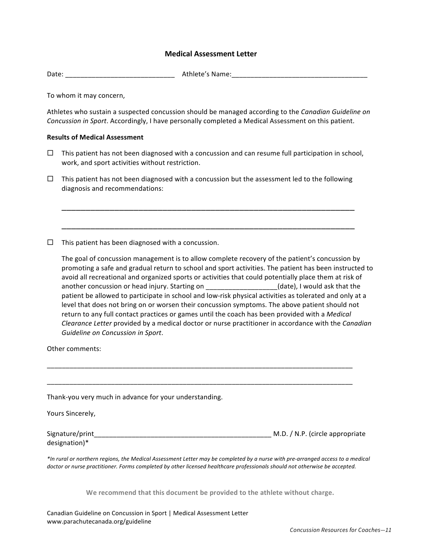#### **Medical Assessment Letter**

Date: \_\_\_\_\_\_\_\_\_\_\_\_\_\_\_\_\_\_\_\_\_\_\_\_\_\_\_\_\_ Athlete's Name:\_\_\_\_\_\_\_\_\_\_\_\_\_\_\_\_\_\_\_\_\_\_\_\_\_\_\_\_\_\_\_\_\_\_\_\_

To whom it may concern,

Athletes who sustain a suspected concussion should be managed according to the *Canadian Guideline on Concussion in Sport*. Accordingly, I have personally completed a Medical Assessment on this patient.

#### **Results of Medical Assessment**

 $\Box$  This patient has not been diagnosed with a concussion and can resume full participation in school, work, and sport activities without restriction.

\_\_\_\_\_\_\_\_\_\_\_\_\_\_\_\_\_\_\_\_\_\_\_\_\_\_\_\_\_\_\_\_\_\_\_\_\_\_\_\_\_\_\_\_\_\_\_\_\_\_\_\_\_\_\_\_\_\_\_\_\_

\_\_\_\_\_\_\_\_\_\_\_\_\_\_\_\_\_\_\_\_\_\_\_\_\_\_\_\_\_\_\_\_\_\_\_\_\_\_\_\_\_\_\_\_\_\_\_\_\_\_\_\_\_\_\_\_\_\_\_\_\_

 $\Box$  This patient has not been diagnosed with a concussion but the assessment led to the following diagnosis and recommendations:

 $\Box$  This patient has been diagnosed with a concussion.

The goal of concussion management is to allow complete recovery of the patient's concussion by promoting a safe and gradual return to school and sport activities. The patient has been instructed to avoid all recreational and organized sports or activities that could potentially place them at risk of another concussion or head injury. Starting on \_\_\_\_\_\_\_\_\_\_\_\_\_\_\_\_\_(date), I would ask that the patient be allowed to participate in school and low-risk physical activities as tolerated and only at a level that does not bring on or worsen their concussion symptoms. The above patient should not return to any full contact practices or games until the coach has been provided with a *Medical Clearance Letter* provided by a medical doctor or nurse practitioner in accordance with the *Canadian Guideline on Concussion in Sport*.

Other comments:

| Thank-you very much in advance for your understanding.                                                                                                                                                                                                       |                                 |
|--------------------------------------------------------------------------------------------------------------------------------------------------------------------------------------------------------------------------------------------------------------|---------------------------------|
| Yours Sincerely,                                                                                                                                                                                                                                             |                                 |
| Signature/print<br>designation)*                                                                                                                                                                                                                             | M.D. / N.P. (circle appropriate |
| *In rural or northern regions, the Medical Assessment Letter may be completed by a nurse with pre-arranged access to a medical<br>doctor or nurse practitioner. Forms completed by other licensed healthcare professionals should not otherwise be accepted. |                                 |

\_\_\_\_\_\_\_\_\_\_\_\_\_\_\_\_\_\_\_\_\_\_\_\_\_\_\_\_\_\_\_\_\_\_\_\_\_\_\_\_\_\_\_\_\_\_\_\_\_\_\_\_\_\_\_\_\_\_\_\_\_\_\_\_\_\_\_\_\_\_\_\_\_\_\_\_\_\_\_\_\_

We recommend that this document be provided to the athlete without charge.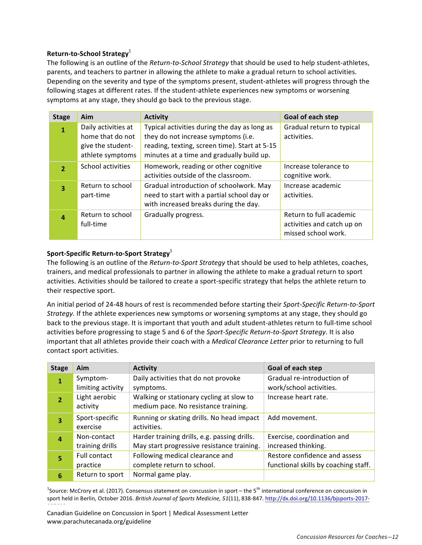#### **Return-to-School Strategy**<sup>1</sup>

The following is an outline of the *Return-to-School Strategy* that should be used to help student-athletes, parents, and teachers to partner in allowing the athlete to make a gradual return to school activities. Depending on the severity and type of the symptoms present, student-athletes will progress through the following stages at different rates. If the student-athlete experiences new symptoms or worsening symptoms at any stage, they should go back to the previous stage.

| <b>Stage</b>   | Aim                                                                              | <b>Activity</b>                                                                                                                                                                   | Goal of each step                                                            |
|----------------|----------------------------------------------------------------------------------|-----------------------------------------------------------------------------------------------------------------------------------------------------------------------------------|------------------------------------------------------------------------------|
| 1              | Daily activities at<br>home that do not<br>give the student-<br>athlete symptoms | Typical activities during the day as long as<br>they do not increase symptoms (i.e.<br>reading, texting, screen time). Start at 5-15<br>minutes at a time and gradually build up. | Gradual return to typical<br>activities.                                     |
| $\overline{2}$ | School activities                                                                | Homework, reading or other cognitive<br>activities outside of the classroom.                                                                                                      | Increase tolerance to<br>cognitive work.                                     |
| 3              | Return to school<br>part-time                                                    | Gradual introduction of schoolwork. May<br>need to start with a partial school day or<br>with increased breaks during the day.                                                    | Increase academic<br>activities.                                             |
| 4              | Return to school<br>full-time                                                    | Gradually progress.                                                                                                                                                               | Return to full academic<br>activities and catch up on<br>missed school work. |

#### Sport-Specific Return-to-Sport Strategy<sup>1</sup>

The following is an outline of the *Return-to-Sport Strategy* that should be used to help athletes, coaches, trainers, and medical professionals to partner in allowing the athlete to make a gradual return to sport activities. Activities should be tailored to create a sport-specific strategy that helps the athlete return to their respective sport.

An initial period of 24-48 hours of rest is recommended before starting their *Sport-Specific Return-to-Sport Strategy*. If the athlete experiences new symptoms or worsening symptoms at any stage, they should go back to the previous stage. It is important that youth and adult student-athletes return to full-time school activities before progressing to stage 5 and 6 of the *Sport-Specific Return-to-Sport Strategy*. It is also important that all athletes provide their coach with a *Medical Clearance Letter* prior to returning to full contact sport activities.

| <b>Stage</b>            | Aim               | <b>Activity</b>                              | Goal of each step                    |
|-------------------------|-------------------|----------------------------------------------|--------------------------------------|
| $\mathbf 1$             | Symptom-          | Daily activities that do not provoke         | Gradual re-introduction of           |
|                         | limiting activity | symptoms.                                    | work/school activities.              |
| $\overline{2}$          | Light aerobic     | Walking or stationary cycling at slow to     | Increase heart rate.                 |
|                         | activity          | medium pace. No resistance training.         |                                      |
| $\overline{\mathbf{3}}$ | Sport-specific    | Running or skating drills. No head impact    | Add movement.                        |
|                         | exercise          | activities.                                  |                                      |
| $\overline{a}$          | Non-contact       | Harder training drills, e.g. passing drills. | Exercise, coordination and           |
|                         | training drills   | May start progressive resistance training.   | increased thinking.                  |
| 5                       | Full contact      | Following medical clearance and              | Restore confidence and assess        |
|                         | practice          | complete return to school.                   | functional skills by coaching staff. |
| 6                       | Return to sport   | Normal game play.                            |                                      |
|                         |                   |                                              |                                      |

<sup>1</sup>Source: McCrory et al. (2017). Consensus statement on concussion in sport – the 5<sup>th</sup> international conference on concussion in sport held in Berlin, October 2016. British Journal of Sports Medicine, 51(11), 838-847. http://dx.doi.org/10.1136/bjsports-2017-097699

Canadian Guideline on Concussion in Sport | Medical Assessment Letter www.parachutecanada.org/guideline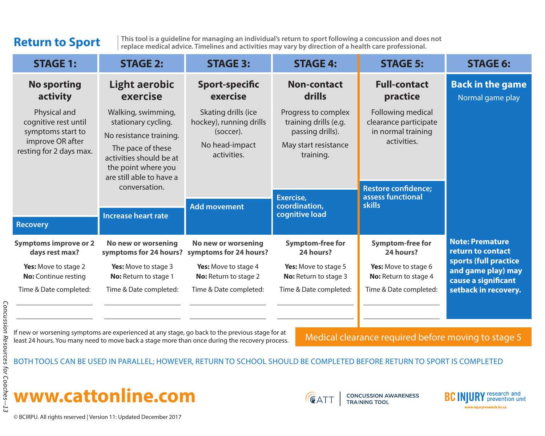# **Return to Sport**

**This tool is a guideline for managing an individual's return to sport following a concussion and does not replace medical advice. Timelines and activities may vary by direction of a health care professional.**

| <b>STAGE 1:</b>                                                                                                             | <b>STAGE 2:</b>                                                                                                                                                                                                        | <b>STAGE 3:</b>                                                                                                     | <b>STAGE 4:</b>                                                                                                                                       | <b>STAGE 5:</b>                                                                                                                                     | <b>STAGE 6:</b>                                                    |
|-----------------------------------------------------------------------------------------------------------------------------|------------------------------------------------------------------------------------------------------------------------------------------------------------------------------------------------------------------------|---------------------------------------------------------------------------------------------------------------------|-------------------------------------------------------------------------------------------------------------------------------------------------------|-----------------------------------------------------------------------------------------------------------------------------------------------------|--------------------------------------------------------------------|
| <b>No sporting</b><br>activity                                                                                              | Light aerobic<br>exercise                                                                                                                                                                                              | Sport-specific<br>exercise                                                                                          | <b>Non-contact</b><br>drills                                                                                                                          | <b>Full-contact</b><br>practice                                                                                                                     | <b>Back in the game</b><br>Normal game play                        |
| Physical and<br>cognitive rest until<br>symptoms start to<br>improve OR after<br>resting for 2 days max.<br><b>Recovery</b> | Walking, swimming,<br>stationary cycling.<br>No resistance training.<br>The pace of these<br>activities should be at<br>the point where you<br>are still able to have a<br>conversation.<br><b>Increase heart rate</b> | Skating drills (ice<br>hockey), running drills<br>(soccer).<br>No head-impact<br>activities.<br><b>Add movement</b> | Progress to complex<br>training drills (e.g.<br>passing drills).<br>May start resistance<br>training.<br>Exercise,<br>coordination,<br>cognitive load | Following medical<br>clearance participate<br>in normal training<br>activities.<br><b>Restore confidence;</b><br>assess functional<br><b>skills</b> |                                                                    |
| <b>Symptoms improve or 2</b><br>days rest max?                                                                              | No new or worsening<br>symptoms for 24 hours?                                                                                                                                                                          | No new or worsening<br>symptoms for 24 hours?                                                                       | <b>Symptom-free for</b><br>24 hours?                                                                                                                  | <b>Symptom-free for</b><br>24 hours?                                                                                                                | <b>Note: Premature</b><br>return to contact                        |
| Yes: Move to stage 2<br><b>No:</b> Continue resting                                                                         | Yes: Move to stage 3<br>No: Return to stage 1                                                                                                                                                                          | <b>Yes:</b> Move to stage 4<br>No: Return to stage 2                                                                | Yes: Move to stage 5<br>No: Return to stage 3                                                                                                         | Yes: Move to stage 6<br>No: Return to stage 4                                                                                                       | sports (full practice<br>and game play) may<br>cause a significant |
| Time & Date completed:                                                                                                      | Time & Date completed:                                                                                                                                                                                                 | Time & Date completed:                                                                                              | Time & Date completed:                                                                                                                                | Time & Date completed:                                                                                                                              | setback in recovery.                                               |

If new or worsening symptoms are experienced at any stage, go back to the previous stage for at If new or worsening symptoms are experienced at any stage, go back to the previous stage for at<br>least 24 hours. You many need to move back a stage more than once during the recovery process. Medical clearance required befo

BOTH TOOLS CAN BE USED IN PARALLEL; HOWEVER, RETURN TO SCHOOL SHOULD BE COMPLETED BEFORE RETURN TO SPORT IS COMPLETED





**CONCUSSION AWARENESS<br>TRAINING TOOL** 

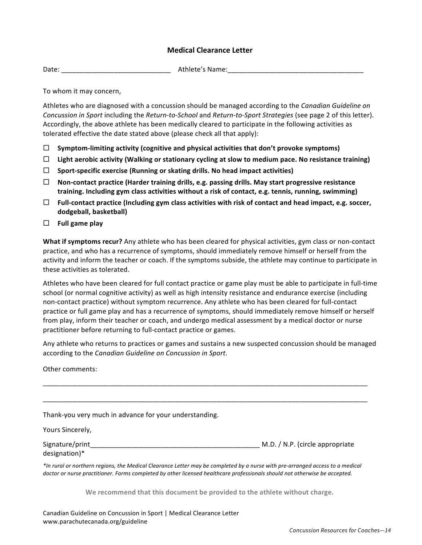#### **Medical Clearance Letter**

Date: \_\_\_\_\_\_\_\_\_\_\_\_\_\_\_\_\_\_\_\_\_\_\_\_\_\_\_\_\_ Athlete's Name:\_\_\_\_\_\_\_\_\_\_\_\_\_\_\_\_\_\_\_\_\_\_\_\_\_\_\_\_\_\_\_\_\_\_\_\_

To whom it may concern,

Athletes who are diagnosed with a concussion should be managed according to the *Canadian Guideline on Concussion in Sport* including the *Return-to-School* and *Return-to-Sport Strategies* (see page 2 of this letter). Accordingly, the above athlete has been medically cleared to participate in the following activities as tolerated effective the date stated above (please check all that apply):

- $\Box$  Symptom-limiting activity (cognitive and physical activities that don't provoke symptoms)
- $\Box$  Light aerobic activity (Walking or stationary cycling at slow to medium pace. No resistance training)
- $\Box$  Sport-specific exercise (Running or skating drills. No head impact activities)
- $\Box$  Non-contact practice (Harder training drills, e.g. passing drills. May start progressive resistance training. Including gym class activities without a risk of contact, e.g. tennis, running, swimming)
- ! **Full-contact practice (Including gym class activities with risk of contact and head impact, e.g. soccer, dodgeball, basketball)**
- $\Box$  Full game play

**What if symptoms recur?** Any athlete who has been cleared for physical activities, gym class or non-contact practice, and who has a recurrence of symptoms, should immediately remove himself or herself from the activity and inform the teacher or coach. If the symptoms subside, the athlete may continue to participate in these activities as tolerated.

Athletes who have been cleared for full contact practice or game play must be able to participate in full-time school (or normal cognitive activity) as well as high intensity resistance and endurance exercise (including non-contact practice) without symptom recurrence. Any athlete who has been cleared for full-contact practice or full game play and has a recurrence of symptoms, should immediately remove himself or herself from play, inform their teacher or coach, and undergo medical assessment by a medical doctor or nurse practitioner before returning to full-contact practice or games.

Any athlete who returns to practices or games and sustains a new suspected concussion should be managed according to the *Canadian Guideline* on *Concussion in Sport*.

Other comments:

| Thank-you very much in advance for your understanding.                                                                     |                                                                                                                               |
|----------------------------------------------------------------------------------------------------------------------------|-------------------------------------------------------------------------------------------------------------------------------|
| Yours Sincerely,                                                                                                           |                                                                                                                               |
| Signature/print<br>designation)*                                                                                           | M.D. / N.P. (circle appropriate                                                                                               |
| doctor or nurse practitioner. Forms completed by other licensed healthcare professionals should not otherwise be accepted. | *In rural or northern regions, the Medical Clearance Letter may be completed by a nurse with pre-arranged access to a medical |
|                                                                                                                            | We recommend that this desument he provided to the athlete without charge                                                     |

We recommend that this document be provided to the athlete without charge.  $\,$